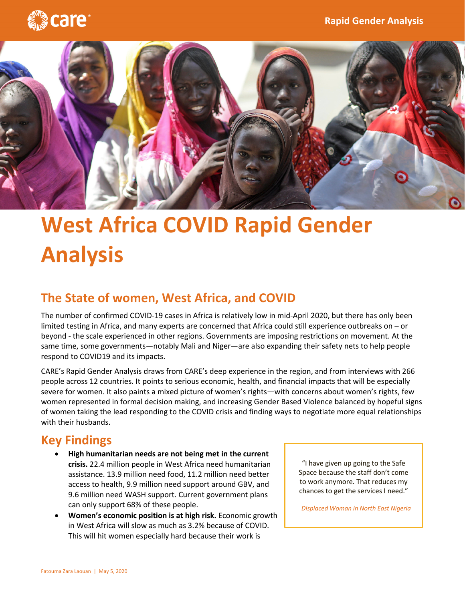



## **West Africa COVID Rapid Gender Analysis**

## **The State of women, West Africa, and COVID**

The number of confirmed COVID-19 cases in Africa is relatively low in mid-April 2020, but there has only been limited testing in Africa, and many experts are concerned that Africa could still experience outbreaks on – or beyond - the scale experienced in other regions. Governments are imposing restrictions on movement. At the same time, some governments—notably Mali and Niger—are also expanding their safety nets to help people respond to COVID19 and its impacts.

CARE's Rapid Gender Analysis draws from CARE's deep experience in the region, and from interviews with 266 people across 12 countries. It points to serious economic, health, and financial impacts that will be especially severe for women. It also paints a mixed picture of women's rights—with concerns about women's rights, few women represented in formal decision making, and increasing Gender Based Violence balanced by hopeful signs of women taking the lead responding to the COVID crisis and finding ways to negotiate more equal relationships with their husbands.

## **Key Findings**

- **High humanitarian needs are not being met in the current crisis.** 22.4 million people in West Africa need humanitarian assistance. 13.9 million need food, 11.2 million need better access to health, 9.9 million need support around GBV, and 9.6 million need WASH support. Current government plans can only support 68% of these people.
- **Women's economic position is at high risk.** Economic growth in West Africa will slow as much as 3.2% because of COVID. This will hit women especially hard because their work is

"I have given up going to the Safe Space because the staff don't come to work anymore. That reduces my chances to get the services I need."

*Displaced Woman in North East Nigeria*